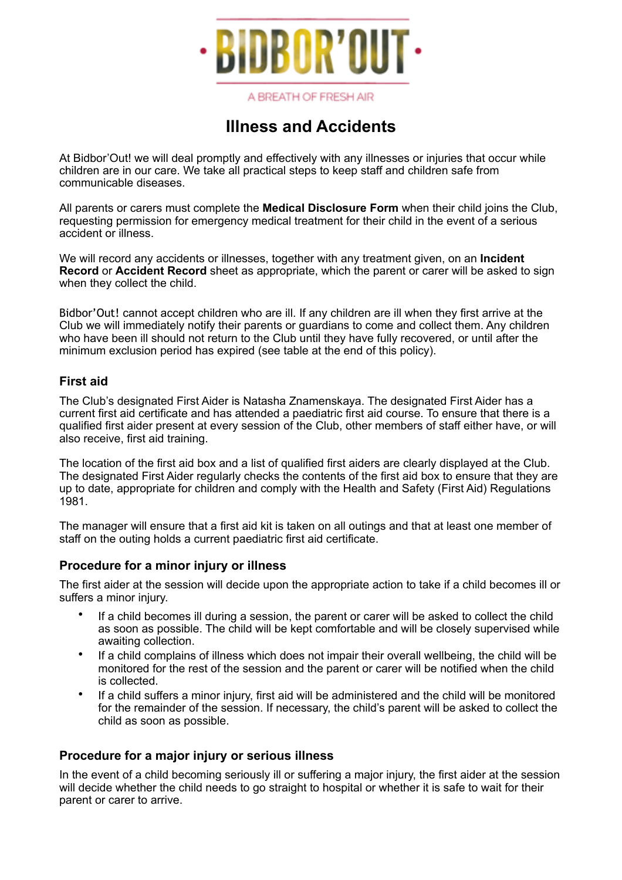

A BREATH OF FRESH AIR

# **Illness and Accidents**

At Bidbor'Out! we will deal promptly and effectively with any illnesses or injuries that occur while children are in our care. We take all practical steps to keep staff and children safe from communicable diseases.

All parents or carers must complete the **Medical Disclosure Form** when their child joins the Club, requesting permission for emergency medical treatment for their child in the event of a serious accident or illness.

We will record any accidents or illnesses, together with any treatment given, on an **Incident Record** or **Accident Record** sheet as appropriate, which the parent or carer will be asked to sign when they collect the child.

Bidbor'Out! cannot accept children who are ill. If any children are ill when they first arrive at the Club we will immediately notify their parents or guardians to come and collect them. Any children who have been ill should not return to the Club until they have fully recovered, or until after the minimum exclusion period has expired (see table at the end of this policy).

### **First aid**

The Club's designated First Aider is Natasha Znamenskaya. The designated First Aider has a current first aid certificate and has attended a paediatric first aid course. To ensure that there is a qualified first aider present at every session of the Club, other members of staff either have, or will also receive, first aid training.

The location of the first aid box and a list of qualified first aiders are clearly displayed at the Club. The designated First Aider regularly checks the contents of the first aid box to ensure that they are up to date, appropriate for children and comply with the Health and Safety (First Aid) Regulations 1981.

The manager will ensure that a first aid kit is taken on all outings and that at least one member of staff on the outing holds a current paediatric first aid certificate.

### **Procedure for a minor injury or illness**

The first aider at the session will decide upon the appropriate action to take if a child becomes ill or suffers a minor injury.

- If a child becomes ill during a session, the parent or carer will be asked to collect the child as soon as possible. The child will be kept comfortable and will be closely supervised while awaiting collection.
- If a child complains of illness which does not impair their overall wellbeing, the child will be monitored for the rest of the session and the parent or carer will be notified when the child is collected.
- If a child suffers a minor injury, first aid will be administered and the child will be monitored for the remainder of the session. If necessary, the child's parent will be asked to collect the child as soon as possible.

### **Procedure for a major injury or serious illness**

In the event of a child becoming seriously ill or suffering a major injury, the first aider at the session will decide whether the child needs to go straight to hospital or whether it is safe to wait for their parent or carer to arrive.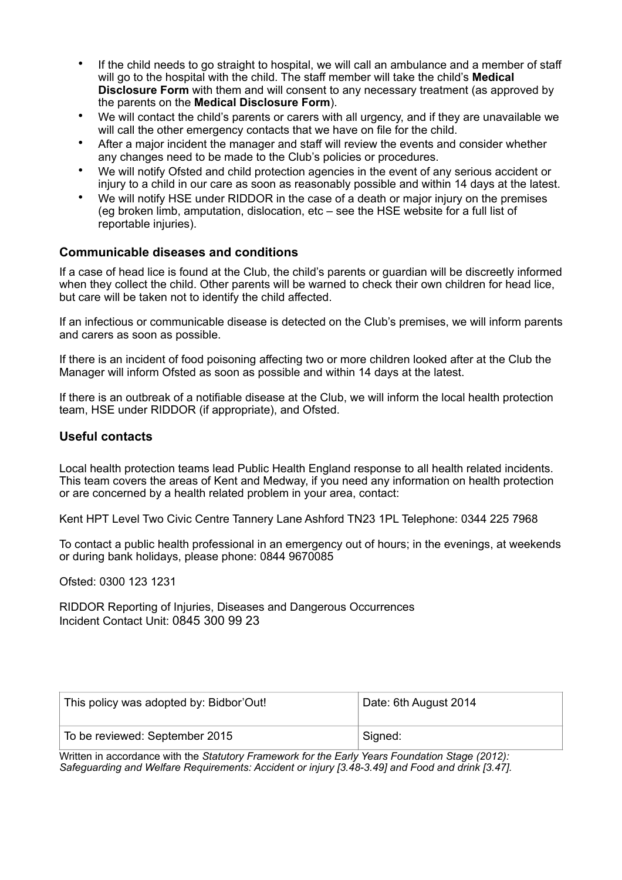- If the child needs to go straight to hospital, we will call an ambulance and a member of staff will go to the hospital with the child. The staff member will take the child's **Medical Disclosure Form** with them and will consent to any necessary treatment (as approved by the parents on the **Medical Disclosure Form**).
- We will contact the child's parents or carers with all urgency, and if they are unavailable we will call the other emergency contacts that we have on file for the child.
- After a major incident the manager and staff will review the events and consider whether any changes need to be made to the Club's policies or procedures.
- We will notify Ofsted and child protection agencies in the event of any serious accident or injury to a child in our care as soon as reasonably possible and within 14 days at the latest.
- We will notify HSE under RIDDOR in the case of a death or major injury on the premises (eg broken limb, amputation, dislocation, etc – see the HSE website for a full list of reportable injuries).

### **Communicable diseases and conditions**

If a case of head lice is found at the Club, the child's parents or guardian will be discreetly informed when they collect the child. Other parents will be warned to check their own children for head lice, but care will be taken not to identify the child affected.

If an infectious or communicable disease is detected on the Club's premises, we will inform parents and carers as soon as possible.

If there is an incident of food poisoning affecting two or more children looked after at the Club the Manager will inform Ofsted as soon as possible and within 14 days at the latest.

If there is an outbreak of a notifiable disease at the Club, we will inform the local health protection team, HSE under RIDDOR (if appropriate), and Ofsted.

#### **Useful contacts**

Local health protection teams lead Public Health England response to all health related incidents. This team covers the areas of Kent and Medway, if you need any information on health protection or are concerned by a health related problem in your area, contact:

Kent HPT Level Two Civic Centre Tannery Lane Ashford TN23 1PL Telephone: 0344 225 7968

To contact a public health professional in an emergency out of hours; in the evenings, at weekends or during bank holidays, please phone: 0844 9670085

Ofsted: 0300 123 1231

RIDDOR Reporting of Injuries, Diseases and Dangerous Occurrences Incident Contact Unit: 0845 300 99 23

| This policy was adopted by: Bidbor'Out! | Date: 6th August 2014 |
|-----------------------------------------|-----------------------|
| To be reviewed: September 2015          | Signed:               |

Written in accordance with the *Statutory Framework for the Early Years Foundation Stage (2012): Safeguarding and Welfare Requirements: Accident or injury [3.48-3.49] and Food and drink [3.47].*